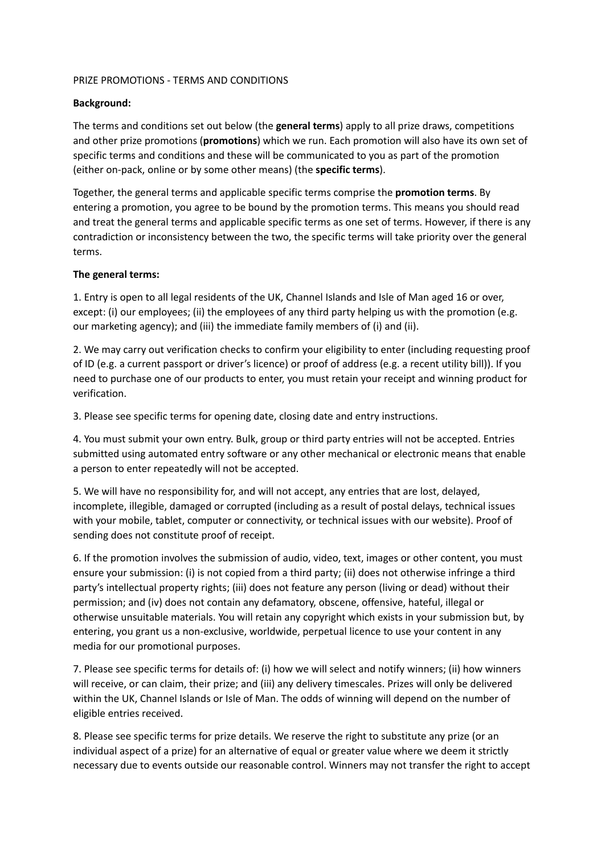## PRIZE PROMOTIONS - TERMS AND CONDITIONS

## **Background:**

The terms and conditions set out below (the **general terms**) apply to all prize draws, competitions and other prize promotions (**promotions**) which we run. Each promotion will also have its own set of specific terms and conditions and these will be communicated to you as part of the promotion (either on-pack, online or by some other means) (the **specific terms**).

Together, the general terms and applicable specific terms comprise the **promotion terms**. By entering a promotion, you agree to be bound by the promotion terms. This means you should read and treat the general terms and applicable specific terms as one set of terms. However, if there is any contradiction or inconsistency between the two, the specific terms will take priority over the general terms.

## **The general terms:**

1. Entry is open to all legal residents of the UK, Channel Islands and Isle of Man aged 16 or over, except: (i) our employees; (ii) the employees of any third party helping us with the promotion (e.g. our marketing agency); and (iii) the immediate family members of (i) and (ii).

2. We may carry out verification checks to confirm your eligibility to enter (including requesting proof of ID (e.g. a current passport or driver's licence) or proof of address (e.g. a recent utility bill)). If you need to purchase one of our products to enter, you must retain your receipt and winning product for verification.

3. Please see specific terms for opening date, closing date and entry instructions.

4. You must submit your own entry. Bulk, group or third party entries will not be accepted. Entries submitted using automated entry software or any other mechanical or electronic means that enable a person to enter repeatedly will not be accepted.

5. We will have no responsibility for, and will not accept, any entries that are lost, delayed, incomplete, illegible, damaged or corrupted (including as a result of postal delays, technical issues with your mobile, tablet, computer or connectivity, or technical issues with our website). Proof of sending does not constitute proof of receipt.

6. If the promotion involves the submission of audio, video, text, images or other content, you must ensure your submission: (i) is not copied from a third party; (ii) does not otherwise infringe a third party's intellectual property rights; (iii) does not feature any person (living or dead) without their permission; and (iv) does not contain any defamatory, obscene, offensive, hateful, illegal or otherwise unsuitable materials. You will retain any copyright which exists in your submission but, by entering, you grant us a non-exclusive, worldwide, perpetual licence to use your content in any media for our promotional purposes.

7. Please see specific terms for details of: (i) how we will select and notify winners; (ii) how winners will receive, or can claim, their prize; and (iii) any delivery timescales. Prizes will only be delivered within the UK, Channel Islands or Isle of Man. The odds of winning will depend on the number of eligible entries received.

8. Please see specific terms for prize details. We reserve the right to substitute any prize (or an individual aspect of a prize) for an alternative of equal or greater value where we deem it strictly necessary due to events outside our reasonable control. Winners may not transfer the right to accept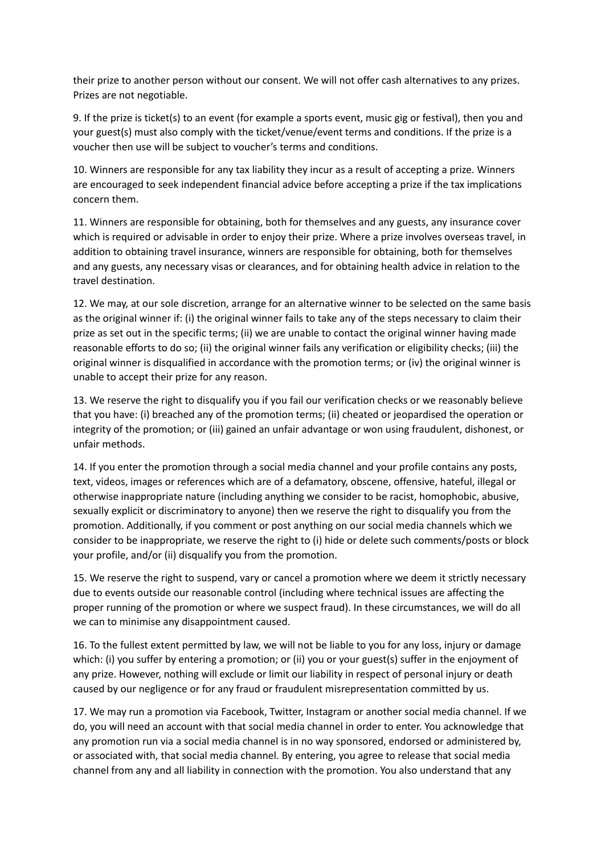their prize to another person without our consent. We will not offer cash alternatives to any prizes. Prizes are not negotiable.

9. If the prize is ticket(s) to an event (for example a sports event, music gig or festival), then you and your guest(s) must also comply with the ticket/venue/event terms and conditions. If the prize is a voucher then use will be subject to voucher's terms and conditions.

10. Winners are responsible for any tax liability they incur as a result of accepting a prize. Winners are encouraged to seek independent financial advice before accepting a prize if the tax implications concern them.

11. Winners are responsible for obtaining, both for themselves and any guests, any insurance cover which is required or advisable in order to enjoy their prize. Where a prize involves overseas travel, in addition to obtaining travel insurance, winners are responsible for obtaining, both for themselves and any guests, any necessary visas or clearances, and for obtaining health advice in relation to the travel destination.

12. We may, at our sole discretion, arrange for an alternative winner to be selected on the same basis as the original winner if: (i) the original winner fails to take any of the steps necessary to claim their prize as set out in the specific terms; (ii) we are unable to contact the original winner having made reasonable efforts to do so; (ii) the original winner fails any verification or eligibility checks; (iii) the original winner is disqualified in accordance with the promotion terms; or (iv) the original winner is unable to accept their prize for any reason.

13. We reserve the right to disqualify you if you fail our verification checks or we reasonably believe that you have: (i) breached any of the promotion terms; (ii) cheated or jeopardised the operation or integrity of the promotion; or (iii) gained an unfair advantage or won using fraudulent, dishonest, or unfair methods.

14. If you enter the promotion through a social media channel and your profile contains any posts, text, videos, images or references which are of a defamatory, obscene, offensive, hateful, illegal or otherwise inappropriate nature (including anything we consider to be racist, homophobic, abusive, sexually explicit or discriminatory to anyone) then we reserve the right to disqualify you from the promotion. Additionally, if you comment or post anything on our social media channels which we consider to be inappropriate, we reserve the right to (i) hide or delete such comments/posts or block your profile, and/or (ii) disqualify you from the promotion.

15. We reserve the right to suspend, vary or cancel a promotion where we deem it strictly necessary due to events outside our reasonable control (including where technical issues are affecting the proper running of the promotion or where we suspect fraud). In these circumstances, we will do all we can to minimise any disappointment caused.

16. To the fullest extent permitted by law, we will not be liable to you for any loss, injury or damage which: (i) you suffer by entering a promotion; or (ii) you or your guest(s) suffer in the enjoyment of any prize. However, nothing will exclude or limit our liability in respect of personal injury or death caused by our negligence or for any fraud or fraudulent misrepresentation committed by us.

17. We may run a promotion via Facebook, Twitter, Instagram or another social media channel. If we do, you will need an account with that social media channel in order to enter. You acknowledge that any promotion run via a social media channel is in no way sponsored, endorsed or administered by, or associated with, that social media channel. By entering, you agree to release that social media channel from any and all liability in connection with the promotion. You also understand that any